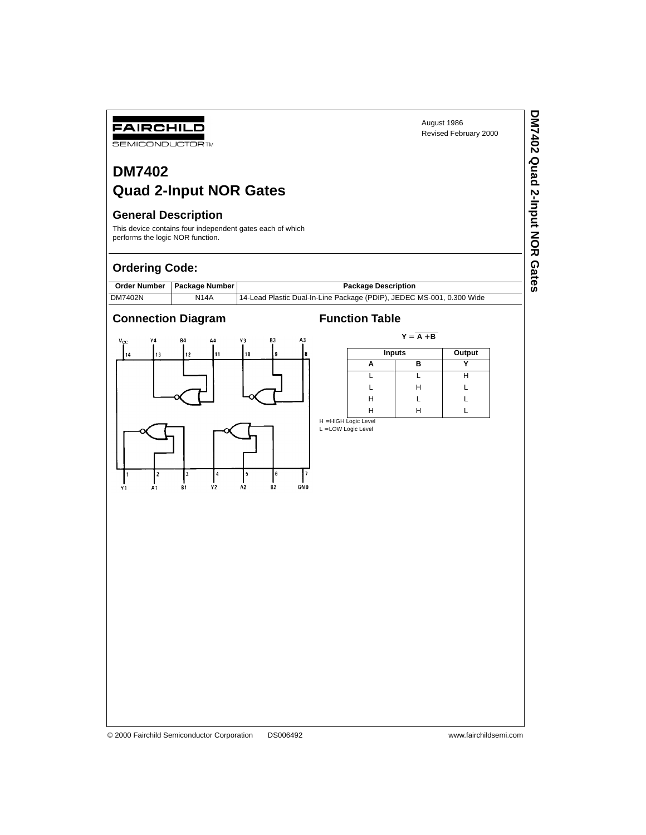**DM7402 Quad 2-Input NOR Gates**

DM7402 Quad 2-Input NOR Gates

# **DM7402 Quad 2-Input NOR Gates**

# **General Description**

FAIRCHILD **SEMICONDUCTOR TM** 

This device contains four independent gates each of which performs the logic NOR function.

# **Ordering Code:**



### **Connection Diagram Function Table**



 $Y = \overline{A + B}$ 

|   | Inputs |  |
|---|--------|--|
|   | в      |  |
|   |        |  |
|   | Н      |  |
| Н |        |  |
| Ħ |        |  |

H = HIGH Logic Level<br>L = LOW Logic Level

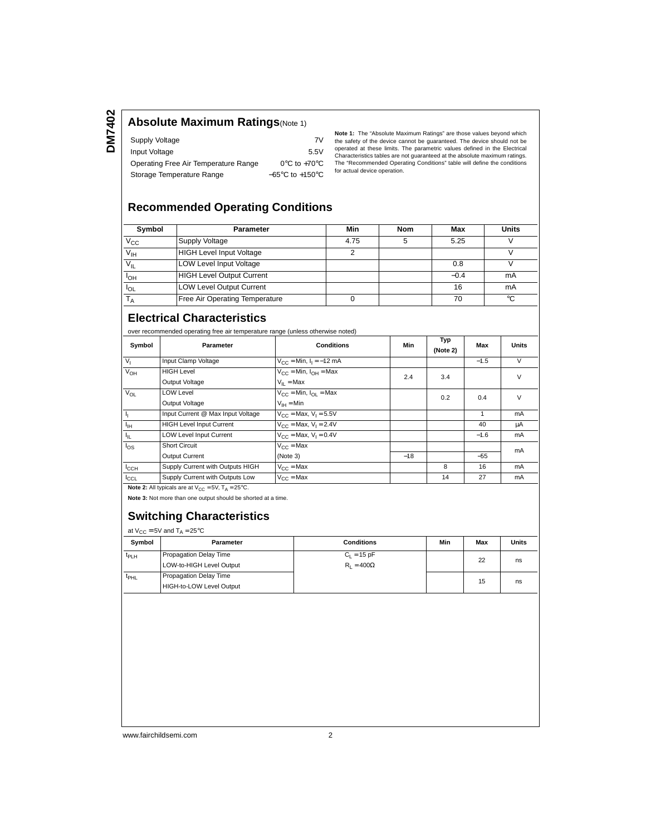**DM7402**

# **Absolute Maximum Ratings**(Note 1)

| Supply Voltage                       | 7V                                  |
|--------------------------------------|-------------------------------------|
| Input Voltage                        | 5.5V                                |
| Operating Free Air Temperature Range | $0^{\circ}$ C to +70 $^{\circ}$ C   |
| Storage Temperature Range            | $-65^{\circ}$ C to $+150^{\circ}$ C |

**Note 1:** The "Absolute Maximum Ratings" are those values beyond which<br>the safety of the device cannot be guaranteed. The device should not be<br>operated at these limits. The parametric values defined in the Electrical Characteristics tables are not guaranteed at the absolute maximum ratings. The "Recommended Operating Conditions" table will define the conditions for actual device operation.

# **Recommended Operating Conditions**

| Symbol          | <b>Parameter</b>                      | Min  | <b>Nom</b> | Max    | <b>Units</b> |
|-----------------|---------------------------------------|------|------------|--------|--------------|
| $V_{\rm CC}$    | Supply Voltage                        | 4.75 |            | 5.25   |              |
| V <sub>IH</sub> | <b>HIGH Level Input Voltage</b>       |      |            |        |              |
| $V_{IL}$        | <b>LOW Level Input Voltage</b>        |      |            | 0.8    |              |
| I <sub>OH</sub> | <b>HIGH Level Output Current</b>      |      |            | $-0.4$ | mA           |
| $I_{OL}$        | <b>LOW Level Output Current</b>       |      |            | 16     | mA           |
|                 | <b>Free Air Operating Temperature</b> |      |            | 70     | °C           |

## **Electrical Characteristics**

over recommended operating free air temperature range (unless otherwise noted)

| Symbol           | Parameter                                                                | <b>Conditions</b>                            | Min   | Typ<br>(Note 2) | Max    | <b>Units</b> |
|------------------|--------------------------------------------------------------------------|----------------------------------------------|-------|-----------------|--------|--------------|
| V <sub>1</sub>   | Input Clamp Voltage                                                      | $V_{CC}$ = Min, $I_1$ = -12 mA               |       |                 | $-1.5$ | $\vee$       |
| V <sub>OH</sub>  | <b>HIGH Level</b>                                                        | $V_{CC}$ = Min, $I_{OH}$ = Max               | 2.4   | 3.4             |        | V            |
|                  | Output Voltage                                                           | $V_{II}$ = Max                               |       |                 |        |              |
| $V_{OL}$         | <b>LOW Level</b>                                                         | $V_{\text{CC}}$ = Min, $I_{\text{OL}}$ = Max |       | 0.2             | 0.4    | $\vee$       |
|                  | Output Voltage                                                           | $V_{IH} = Min$                               |       |                 |        |              |
| Τ,               | Input Current @ Max Input Voltage                                        | $V_{CC}$ = Max, $V_1$ = 5.5V                 |       |                 |        | mA           |
| $I_{\rm IH}$     | <b>HIGH Level Input Current</b>                                          | $V_{\rm CC}$ = Max, $V_{\rm I}$ = 2.4V       |       |                 | 40     | μA           |
| $I_{\rm IL}$     | <b>LOW Level Input Current</b>                                           | $V_{\text{CC}} = \text{Max}, V_1 = 0.4V$     |       |                 | $-1.6$ | mA           |
| $\log$           | <b>Short Circuit</b>                                                     | $V_{C}$ = Max                                |       |                 |        | mA           |
|                  | Output Current                                                           | (Note 3)                                     | $-18$ |                 | $-55$  |              |
| $I_{\text{CCH}}$ | Supply Current with Outputs HIGH                                         | $V_{C}$ = Max                                |       | 8               | 16     | mA           |
| ICCL             | Supply Current with Outputs Low                                          | $V_{C}$ = Max                                |       | 14              | 27     | mA           |
|                  | <b>Note 2:</b> All typicals are at $V_{CC} = 5V$ , $T_A = 25^{\circ}C$ . |                                              |       |                 |        |              |

**Note 3:** Not more than one output should be shorted at a time.

### **Switching Characteristics**

at  $V_{CC} = 5V$  and  $T_A = 25^{\circ}C$ 

| --<br>Symbol     | Parameter                | <b>Conditions</b> | Min | Max | Units |
|------------------|--------------------------|-------------------|-----|-----|-------|
| <sup>t</sup> PLH | Propagation Delay Time   | $C_1 = 15 pF$     |     |     |       |
|                  | LOW-to-HIGH Level Output | $R_1 = 400\Omega$ |     | 22  | ns    |
| <sup>L</sup> PHL | Propagation Delay Time   |                   |     | 15  | ns    |
|                  | HIGH-to-LOW Level Output |                   |     |     |       |